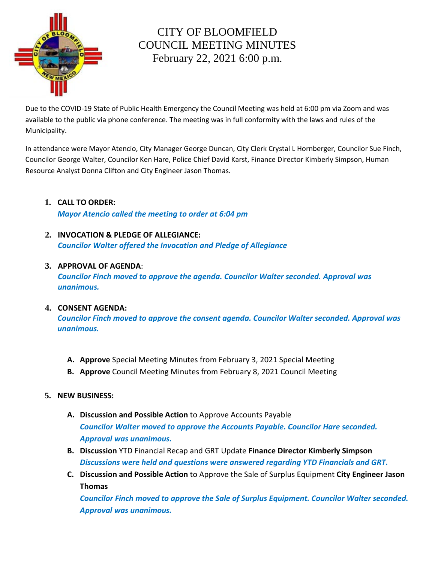

# CITY OF BLOOMFIELD COUNCIL MEETING MINUTES February 22, 2021 6:00 p.m.

Due to the COVID-19 State of Public Health Emergency the Council Meeting was held at 6:00 pm via Zoom and was available to the public via phone conference. The meeting was in full conformity with the laws and rules of the Municipality.

In attendance were Mayor Atencio, City Manager George Duncan, City Clerk Crystal L Hornberger, Councilor Sue Finch, Councilor George Walter, Councilor Ken Hare, Police Chief David Karst, Finance Director Kimberly Simpson, Human Resource Analyst Donna Clifton and City Engineer Jason Thomas.

**1. CALL TO ORDER:** 

*Mayor Atencio called the meeting to order at 6:04 pm*

**2. INVOCATION & PLEDGE OF ALLEGIANCE:**  *Councilor Walter offered the Invocation and Pledge of Allegiance*

#### **3. APPROVAL OF AGENDA**:

*Councilor Finch moved to approve the agenda. Councilor Walter seconded. Approval was unanimous.*

## **4. CONSENT AGENDA:**

*Councilor Finch moved to approve the consent agenda. Councilor Walter seconded. Approval was unanimous.*

- **A. Approve** Special Meeting Minutes from February 3, 2021 Special Meeting
- **B. Approve** Council Meeting Minutes from February 8, 2021 Council Meeting

## **5. NEW BUSINESS:**

- **A. Discussion and Possible Action** to Approve Accounts Payable *Councilor Walter moved to approve the Accounts Payable. Councilor Hare seconded. Approval was unanimous.*
- **B. Discussion** YTD Financial Recap and GRT Update **Finance Director Kimberly Simpson** *Discussions were held and questions were answered regarding YTD Financials and GRT.*
- **C. Discussion and Possible Action** to Approve the Sale of Surplus Equipment **City Engineer Jason Thomas**

*Councilor Finch moved to approve the Sale of Surplus Equipment. Councilor Walter seconded. Approval was unanimous.*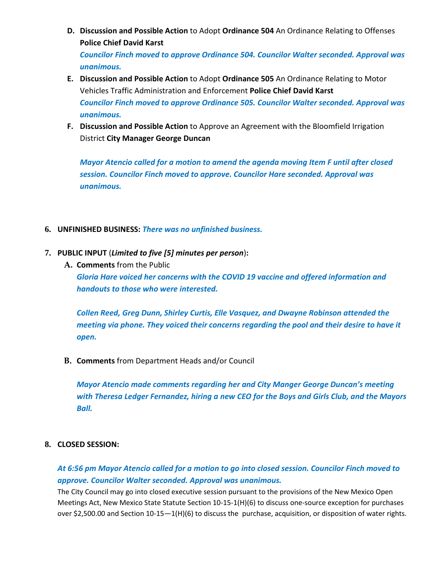- **D. Discussion and Possible Action** to Adopt **Ordinance 504** An Ordinance Relating to Offenses **Police Chief David Karst**  *Councilor Finch moved to approve Ordinance 504. Councilor Walter seconded. Approval was unanimous.*
- **E. Discussion and Possible Action** to Adopt **Ordinance 505** An Ordinance Relating to Motor Vehicles Traffic Administration and Enforcement **Police Chief David Karst** *Councilor Finch moved to approve Ordinance 505. Councilor Walter seconded. Approval was unanimous.*
- **F. Discussion and Possible Action** to Approve an Agreement with the Bloomfield Irrigation District **City Manager George Duncan**

*Mayor Atencio called for a motion to amend the agenda moving Item F until after closed session. Councilor Finch moved to approve. Councilor Hare seconded. Approval was unanimous.* 

- **6. UNFINISHED BUSINESS:** *There was no unfinished business.*
- **7. PUBLIC INPUT** (*Limited to five [5] minutes per person*)**:** 
	- **A. Comments** from the Public *Gloria Hare voiced her concerns with the COVID 19 vaccine and offered information and handouts to those who were interested.*

*Collen Reed, Greg Dunn, Shirley Curtis, Elle Vasquez, and Dwayne Robinson attended the meeting via phone. They voiced their concerns regarding the pool and their desire to have it open.* 

**B. Comments** from Department Heads and/or Council

*Mayor Atencio made comments regarding her and City Manger George Duncan's meeting with Theresa Ledger Fernandez, hiring a new CEO for the Boys and Girls Club, and the Mayors Ball.* 

## **8. CLOSED SESSION:**

# *At 6:56 pm Mayor Atencio called for a motion to go into closed session. Councilor Finch moved to approve. Councilor Walter seconded. Approval was unanimous.*

The City Council may go into closed executive session pursuant to the provisions of the New Mexico Open Meetings Act, New Mexico State Statute Section 10-15-1(H)(6) to discuss one-source exception for purchases over \$2,500.00 and Section 10-15—1(H)(6) to discuss the purchase, acquisition, or disposition of water rights.